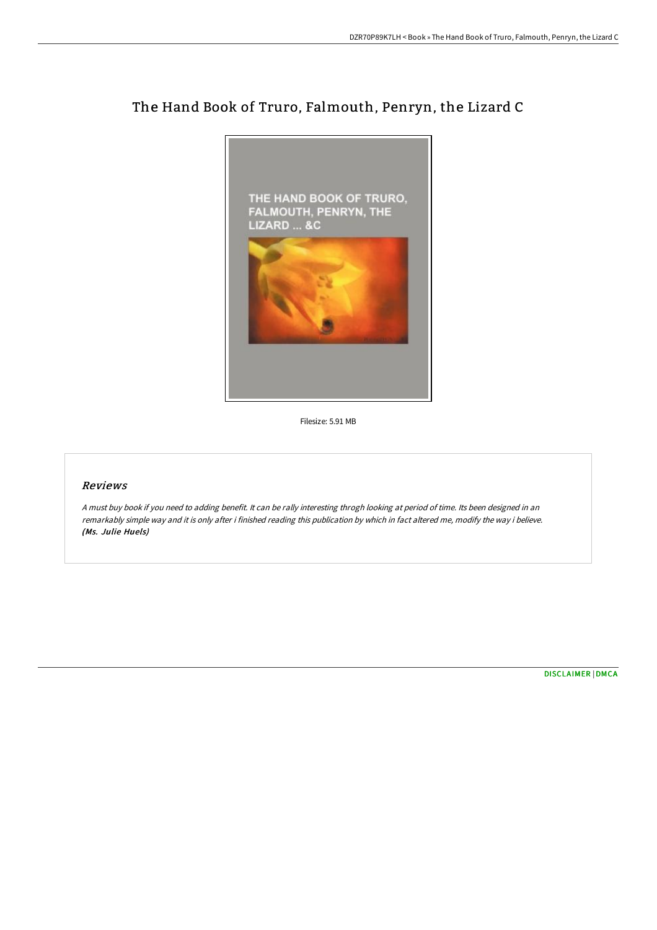

# The Hand Book of Truro, Falmouth, Penryn, the Lizard C

Filesize: 5.91 MB

## Reviews

<sup>A</sup> must buy book if you need to adding benefit. It can be rally interesting throgh looking at period of time. Its been designed in an remarkably simple way and it is only after i finished reading this publication by which in fact altered me, modify the way i believe. (Ms. Julie Huels)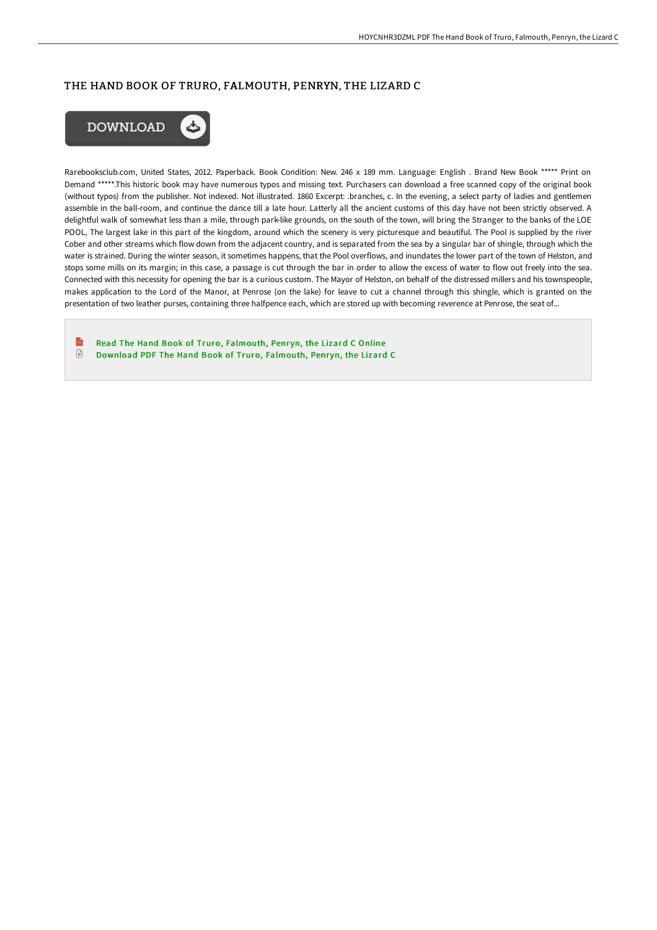#### THE HAND BOOK OF TRURO, FALMOUTH, PENRYN, THE LIZARD C



Rarebooksclub.com, United States, 2012. Paperback. Book Condition: New. 246 x 189 mm. Language: English . Brand New Book \*\*\*\*\* Print on Demand \*\*\*\*\*.This historic book may have numerous typos and missing text. Purchasers can download a free scanned copy of the original book (without typos) from the publisher. Not indexed. Not illustrated. 1860 Excerpt: .branches, c. In the evening, a select party of ladies and gentlemen assemble in the ball-room, and continue the dance till a late hour. Latterly all the ancient customs of this day have not been strictly observed. A delightful walk of somewhat less than a mile, through park-like grounds, on the south of the town, will bring the Stranger to the banks of the LOE POOL, The largest lake in this part of the kingdom, around which the scenery is very picturesque and beautiful. The Pool is supplied by the river Cober and other streams which flow down from the adjacent country, and is separated from the sea by a singular bar of shingle, through which the water is strained. During the winter season, it sometimes happens, that the Pool overflows, and inundates the lower part of the town of Helston, and stops some mills on its margin; in this case, a passage is cut through the bar in order to allow the excess of water to flow out freely into the sea. Connected with this necessity for opening the bar is a curious custom. The Mayor of Helston, on behalf of the distressed millers and his townspeople, makes application to the Lord of the Manor, at Penrose (on the lake) for leave to cut a channel through this shingle, which is granted on the presentation of two leather purses, containing three halfpence each, which are stored up with becoming reverence at Penrose, the seat of...

 $\mathbb{R}$ Read The Hand Book of Truro, [Falmouth,](http://www.bookdirs.com/the-hand-book-of-truro-falmouth-penryn-the-lizar.html) Penryn, the Lizard C Online  $\begin{array}{c} \hline \end{array}$ Download PDF The Hand Book of Truro, [Falmouth,](http://www.bookdirs.com/the-hand-book-of-truro-falmouth-penryn-the-lizar.html) Penryn, the Lizard C